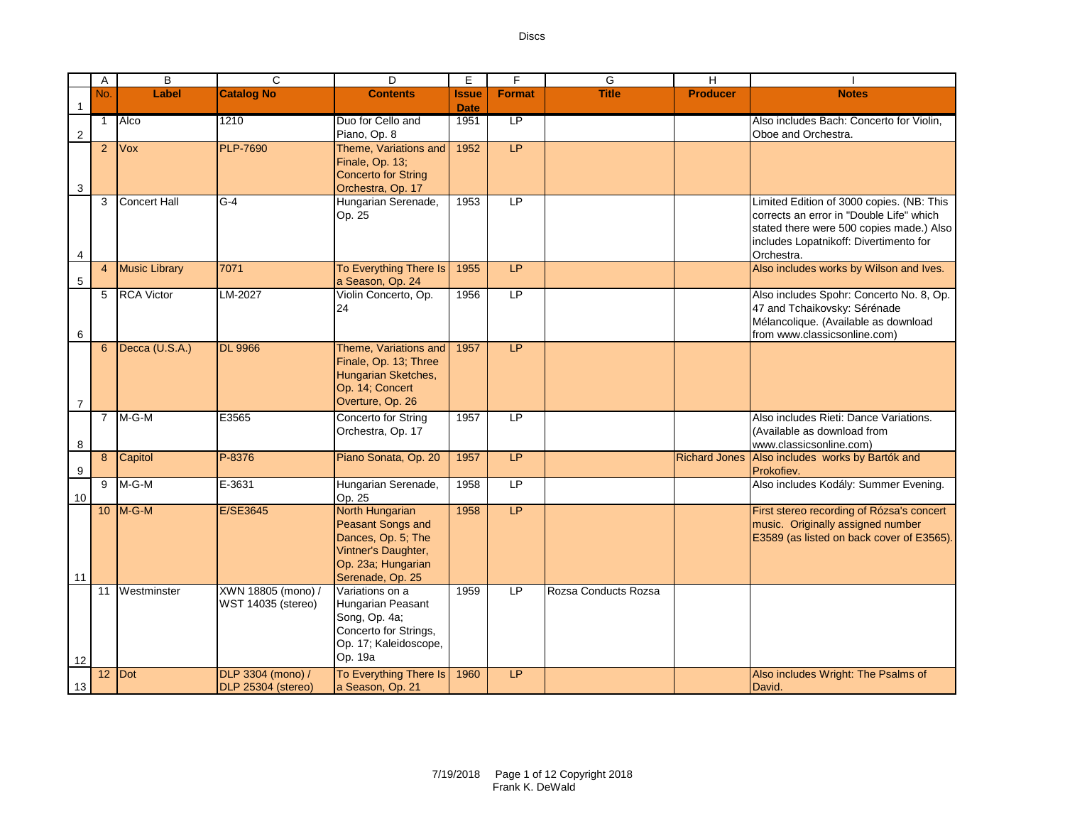|                | Α               | B                    | $\overline{c}$            | D                                          | E.           | F              | G                    | H                    |                                           |
|----------------|-----------------|----------------------|---------------------------|--------------------------------------------|--------------|----------------|----------------------|----------------------|-------------------------------------------|
|                | No.             | Label                | <b>Catalog No</b>         | <b>Contents</b>                            | <b>Issue</b> | <b>Format</b>  | <b>Title</b>         | <b>Producer</b>      | <b>Notes</b>                              |
| 1              |                 |                      |                           |                                            | <b>Date</b>  |                |                      |                      |                                           |
|                | $\mathbf{1}$    | Alco                 | 1210                      | Duo for Cello and                          | 1951         | <b>LP</b>      |                      |                      | Also includes Bach: Concerto for Violin,  |
| $\overline{2}$ |                 |                      |                           | Piano, Op. 8                               |              |                |                      |                      | Oboe and Orchestra.                       |
|                | 2 <sup>2</sup>  | <b>Vox</b>           | <b>PLP-7690</b>           | Theme, Variations and                      | 1952         | LP             |                      |                      |                                           |
|                |                 |                      |                           | Finale, Op. 13;                            |              |                |                      |                      |                                           |
|                |                 |                      |                           | <b>Concerto for String</b>                 |              |                |                      |                      |                                           |
| 3              |                 |                      |                           | Orchestra, Op. 17                          |              |                |                      |                      |                                           |
|                | 3               | Concert Hall         | $G-4$                     | Hungarian Serenade,                        | 1953         | LP             |                      |                      | Limited Edition of 3000 copies. (NB: This |
|                |                 |                      |                           | Op. 25                                     |              |                |                      |                      | corrects an error in "Double Life" which  |
|                |                 |                      |                           |                                            |              |                |                      |                      | stated there were 500 copies made.) Also  |
|                |                 |                      |                           |                                            |              |                |                      |                      | includes Lopatnikoff: Divertimento for    |
| 4              |                 |                      |                           |                                            |              |                |                      |                      | Orchestra.                                |
|                | $\overline{4}$  | <b>Music Library</b> | 7071                      | To Everything There Is                     | 1955         | LP.            |                      |                      | Also includes works by Wilson and Ives.   |
| 5              | $5\overline{)}$ | <b>RCA Victor</b>    | LM-2027                   | a Season, Op. 24<br>Violin Concerto, Op.   | 1956         | LP             |                      |                      | Also includes Spohr: Concerto No. 8, Op.  |
|                |                 |                      |                           | 24                                         |              |                |                      |                      | 47 and Tchaikovsky: Sérénade              |
|                |                 |                      |                           |                                            |              |                |                      |                      | Mélancolique. (Available as download      |
| 6              |                 |                      |                           |                                            |              |                |                      |                      | from www.classicsonline.com)              |
|                | $6\overline{6}$ | Decca (U.S.A.)       | <b>DL 9966</b>            | Theme, Variations and                      | 1957         | LP             |                      |                      |                                           |
|                |                 |                      |                           | Finale, Op. 13; Three                      |              |                |                      |                      |                                           |
|                |                 |                      |                           | Hungarian Sketches,                        |              |                |                      |                      |                                           |
|                |                 |                      |                           | Op. 14; Concert                            |              |                |                      |                      |                                           |
| $\overline{7}$ |                 |                      |                           | Overture, Op. 26                           |              |                |                      |                      |                                           |
|                |                 | 7 M-G-M              | E3565                     | Concerto for String                        | 1957         | L <sup>p</sup> |                      |                      | Also includes Rieti: Dance Variations.    |
|                |                 |                      |                           | Orchestra, Op. 17                          |              |                |                      |                      | (Available as download from               |
| 8              |                 |                      |                           |                                            |              |                |                      |                      | www.classicsonline.com)                   |
|                | 8               | Capitol              | P-8376                    | Piano Sonata, Op. 20                       | 1957         | LP             |                      | <b>Richard Jones</b> | Also includes works by Bartók and         |
| 9              |                 |                      |                           |                                            |              |                |                      |                      | Prokofiev.                                |
|                | 9               | $M-G-M$              | E-3631                    | Hungarian Serenade,                        | 1958         | LP             |                      |                      | Also includes Kodály: Summer Evening.     |
| 10             |                 |                      |                           | Op. 25                                     |              |                |                      |                      |                                           |
|                | 10 <sup>°</sup> | $M-G-M$              | E/SE3645                  | North Hungarian                            | 1958         | LP             |                      |                      | First stereo recording of Rózsa's concert |
|                |                 |                      |                           | Peasant Songs and                          |              |                |                      |                      | music. Originally assigned number         |
|                |                 |                      |                           | Dances, Op. 5; The                         |              |                |                      |                      | E3589 (as listed on back cover of E3565). |
|                |                 |                      |                           | Vintner's Daughter,                        |              |                |                      |                      |                                           |
|                |                 |                      |                           | Op. 23a; Hungarian                         |              |                |                      |                      |                                           |
| 11             |                 |                      |                           | Serenade, Op. 25                           |              | LP             |                      |                      |                                           |
|                | 11              | Westminster          | XWN 18805 (mono) /        | Variations on a                            | 1959         |                | Rozsa Conducts Rozsa |                      |                                           |
|                |                 |                      | <b>WST 14035 (stereo)</b> | Hungarian Peasant<br>Song, Op. 4a;         |              |                |                      |                      |                                           |
|                |                 |                      |                           | Concerto for Strings,                      |              |                |                      |                      |                                           |
|                |                 |                      |                           | Op. 17; Kaleidoscope,                      |              |                |                      |                      |                                           |
|                |                 |                      |                           | Op. 19a                                    |              |                |                      |                      |                                           |
| 12             |                 |                      |                           |                                            |              | LP             |                      |                      |                                           |
| 13             |                 | 12 Dot               | DLP 3304 (mono) /         | To Everything There Is<br>a Season, Op. 21 | 1960         |                |                      |                      | Also includes Wright: The Psalms of       |
|                |                 |                      | DLP 25304 (stereo)        |                                            |              |                |                      |                      | David.                                    |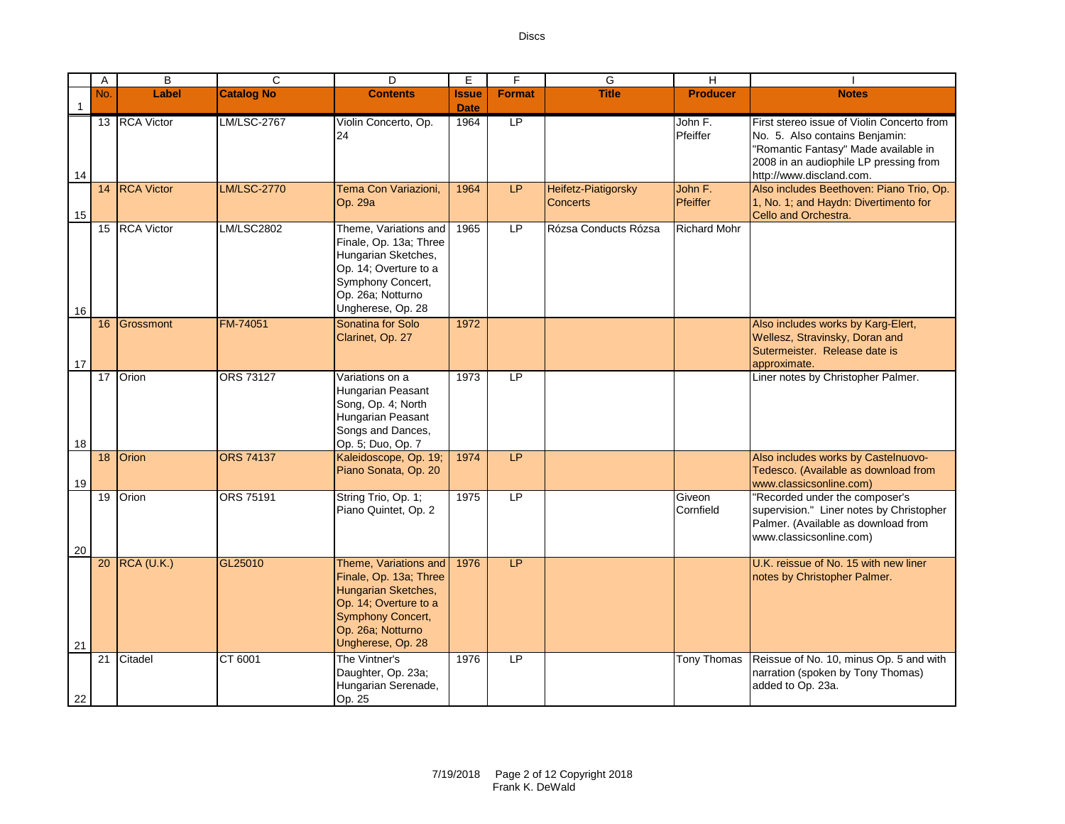|              | A   | $\overline{B}$ | C                 | D                                                                                                                                                              | Е                    | F             | G                                             | H                   |                                                                                                                                                                                            |
|--------------|-----|----------------|-------------------|----------------------------------------------------------------------------------------------------------------------------------------------------------------|----------------------|---------------|-----------------------------------------------|---------------------|--------------------------------------------------------------------------------------------------------------------------------------------------------------------------------------------|
| $\mathbf{1}$ | No. | Label          | <b>Catalog No</b> | <b>Contents</b>                                                                                                                                                | Issue<br><b>Date</b> | <b>Format</b> | <b>Title</b>                                  | <b>Producer</b>     | <b>Notes</b>                                                                                                                                                                               |
| 14           |     | 13 RCA Victor  | LM/LSC-2767       | Violin Concerto, Op.<br>24                                                                                                                                     | 1964                 | LP            |                                               | John F.<br>Pfeiffer | First stereo issue of Violin Concerto from<br>No. 5. Also contains Benjamin:<br>"Romantic Fantasy" Made available in<br>2008 in an audiophile LP pressing from<br>http://www.discland.com. |
| 15           |     | 14 RCA Victor  | LM/LSC-2770       | Tema Con Variazioni.<br>Op. 29a                                                                                                                                | 1964                 | <b>LP</b>     | <b>Heifetz-Piatigorsky</b><br><b>Concerts</b> | John F.<br>Pfeiffer | Also includes Beethoven: Piano Trio, Op.<br>1, No. 1; and Haydn: Divertimento for<br>Cello and Orchestra.                                                                                  |
| 16           |     | 15 RCA Victor  | LM/LSC2802        | Theme, Variations and<br>Finale, Op. 13a; Three<br>Hungarian Sketches,<br>Op. 14; Overture to a<br>Symphony Concert,<br>Op. 26a; Notturno<br>Ungherese, Op. 28 | 1965                 | LP.           | Rózsa Conducts Rózsa                          | <b>Richard Mohr</b> |                                                                                                                                                                                            |
| 17           | 16  | Grossmont      | FM-74051          | Sonatina for Solo<br>Clarinet, Op. 27                                                                                                                          | 1972                 |               |                                               |                     | Also includes works by Karg-Elert,<br>Wellesz, Stravinsky, Doran and<br>Sutermeister. Release date is<br>approximate.                                                                      |
| 18           | 17  | Orion          | <b>ORS 73127</b>  | Variations on a<br>Hungarian Peasant<br>Song, Op. 4; North<br>Hungarian Peasant<br>Songs and Dances,<br>Op. 5; Duo, Op. 7                                      | 1973                 | LP            |                                               |                     | Liner notes by Christopher Palmer.                                                                                                                                                         |
| 19           |     | 18 Orion       | <b>ORS 74137</b>  | Kaleidoscope, Op. 19;<br>Piano Sonata, Op. 20                                                                                                                  | 1974                 | <b>LP</b>     |                                               |                     | Also includes works by Castelnuovo-<br>Tedesco. (Available as download from<br>www.classicsonline.com)                                                                                     |
| 20           | 19  | Orion          | ORS 75191         | String Trio, Op. 1;<br>Piano Quintet, Op. 2                                                                                                                    | 1975                 | LP            |                                               | Giveon<br>Cornfield | "Recorded under the composer's<br>supervision." Liner notes by Christopher<br>Palmer. (Available as download from<br>www.classicsonline.com)                                               |
| 21           |     | 20 RCA (U.K.)  | GL25010           | Theme, Variations and<br>Finale, Op. 13a; Three<br>Hungarian Sketches,<br>Op. 14; Overture to a<br>Symphony Concert,<br>Op. 26a; Notturno<br>Ungherese, Op. 28 | 1976                 | LP            |                                               |                     | U.K. reissue of No. 15 with new liner<br>notes by Christopher Palmer.                                                                                                                      |
| 22           | 21  | Citadel        | CT 6001           | The Vintner's<br>Daughter, Op. 23a;<br>Hungarian Serenade,<br>Op. 25                                                                                           | 1976                 | LP            |                                               | Tony Thomas         | Reissue of No. 10, minus Op. 5 and with<br>narration (spoken by Tony Thomas)<br>added to Op. 23a.                                                                                          |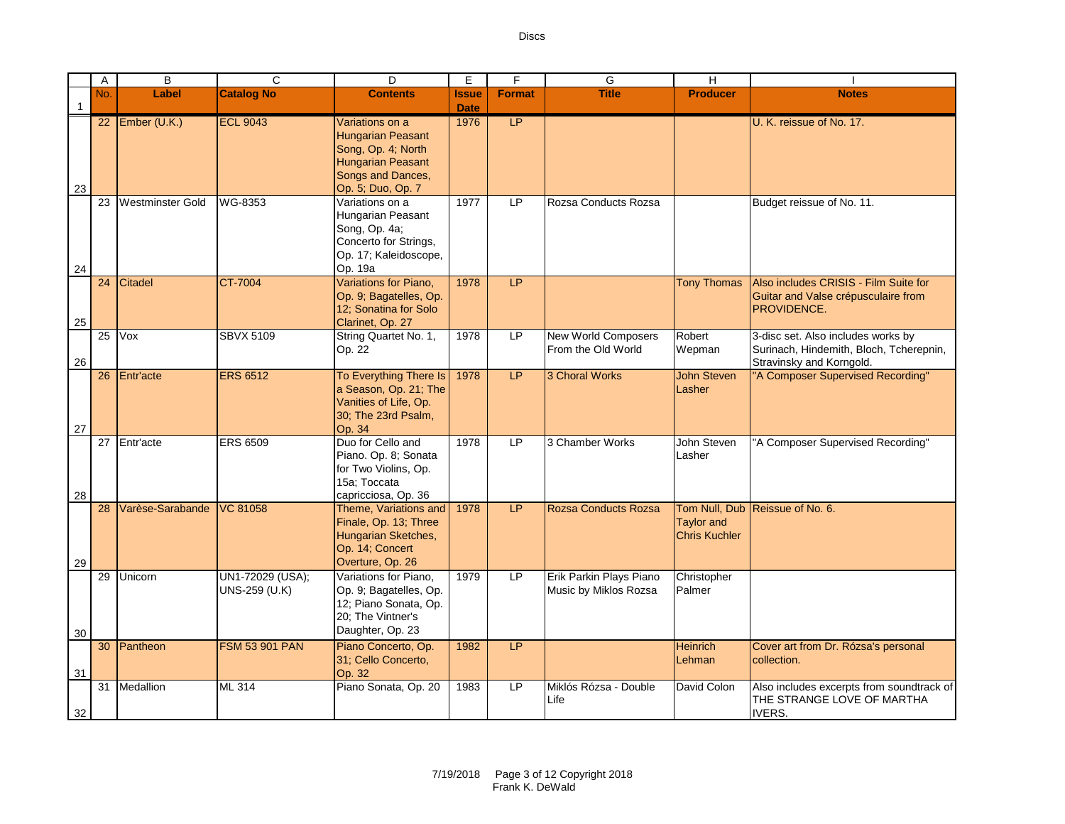|                    | Α               | B                       | C                                 | D                                                                                                                                       | E                   | F             | G                                                | $\overline{H}$                            |                                                                                                           |
|--------------------|-----------------|-------------------------|-----------------------------------|-----------------------------------------------------------------------------------------------------------------------------------------|---------------------|---------------|--------------------------------------------------|-------------------------------------------|-----------------------------------------------------------------------------------------------------------|
|                    | No.             | Label                   | <b>Catalog No</b>                 | <b>Contents</b>                                                                                                                         | <b>Issue</b>        | <b>Format</b> | <b>Title</b>                                     | <b>Producer</b>                           | <b>Notes</b>                                                                                              |
| $\mathbf{1}$<br>23 |                 | 22 Ember $(U.K.)$       | <b>ECL 9043</b>                   | Variations on a<br><b>Hungarian Peasant</b><br>Song, Op. 4; North<br><b>Hungarian Peasant</b><br>Songs and Dances,<br>Op. 5; Duo, Op. 7 | <b>Date</b><br>1976 | LP            |                                                  |                                           | U. K. reissue of No. 17.                                                                                  |
| 24                 | 23              | <b>Westminster Gold</b> | WG-8353                           | Variations on a<br>Hungarian Peasant<br>Song, Op. 4a;<br>Concerto for Strings,<br>Op. 17; Kaleidoscope,<br>Op. 19a                      | 1977                | LP            | Rozsa Conducts Rozsa                             |                                           | Budget reissue of No. 11.                                                                                 |
| 25                 | 24              | <b>Citadel</b>          | <b>CT-7004</b>                    | Variations for Piano,<br>Op. 9; Bagatelles, Op.<br>12; Sonatina for Solo<br>Clarinet, Op. 27                                            | 1978                | LP            |                                                  | <b>Tony Thomas</b>                        | Also includes CRISIS - Film Suite for<br>Guitar and Valse crépusculaire from<br>PROVIDENCE.               |
| 26                 | $\overline{25}$ | Vox                     | <b>SBVX 5109</b>                  | String Quartet No. 1,<br>Op. 22                                                                                                         | 1978                | LP            | <b>New World Composers</b><br>From the Old World | Robert<br>Wepman                          | 3-disc set. Also includes works by<br>Surinach, Hindemith, Bloch, Tcherepnin,<br>Stravinsky and Korngold. |
| 27                 |                 | 26 Entr'acte            | <b>ERS 6512</b>                   | To Everything There Is<br>a Season, Op. 21; The<br>Vanities of Life, Op.<br>30; The 23rd Psalm,<br>Op. 34                               | 1978                | LP.           | <b>3 Choral Works</b>                            | <b>John Steven</b><br>Lasher              | "A Composer Supervised Recording"                                                                         |
| 28                 | 27              | Entr'acte               | <b>ERS 6509</b>                   | Duo for Cello and<br>Piano. Op. 8: Sonata<br>for Two Violins, Op.<br>15a: Toccata<br>capricciosa, Op. 36                                | 1978                | LP.           | 3 Chamber Works                                  | John Steven<br>Lasher                     | "A Composer Supervised Recording"                                                                         |
| 29                 | 28              | Varèse-Sarabande        | <b>VC 81058</b>                   | Theme, Variations and<br>Finale, Op. 13; Three<br>Hungarian Sketches,<br>Op. 14; Concert<br>Overture, Op. 26                            | 1978                | LP.           | <b>Rozsa Conducts Rozsa</b>                      | <b>Taylor and</b><br><b>Chris Kuchler</b> | Tom Null, Dub Reissue of No. 6.                                                                           |
| 30                 | 29              | Unicorn                 | UN1-72029 (USA);<br>UNS-259 (U.K) | Variations for Piano.<br>Op. 9; Bagatelles, Op.<br>12; Piano Sonata, Op.<br>20; The Vintner's<br>Daughter, Op. 23                       | 1979                | LP            | Erik Parkin Plays Piano<br>Music by Miklos Rozsa | Christopher<br>Palmer                     |                                                                                                           |
| 31                 | 30              | Pantheon                | <b>FSM 53 901 PAN</b>             | Piano Concerto, Op.<br>31; Cello Concerto,<br>Op. 32                                                                                    | 1982                | LP            |                                                  | <b>Heinrich</b><br>Lehman                 | Cover art from Dr. Rózsa's personal<br>collection.                                                        |
| 32                 | 31              | Medallion               | $ML$ 314                          | Piano Sonata, Op. 20                                                                                                                    | 1983                | <b>LP</b>     | Miklós Rózsa - Double<br>Life                    | David Colon                               | Also includes excerpts from soundtrack of<br>THE STRANGE LOVE OF MARTHA<br><b>IVERS.</b>                  |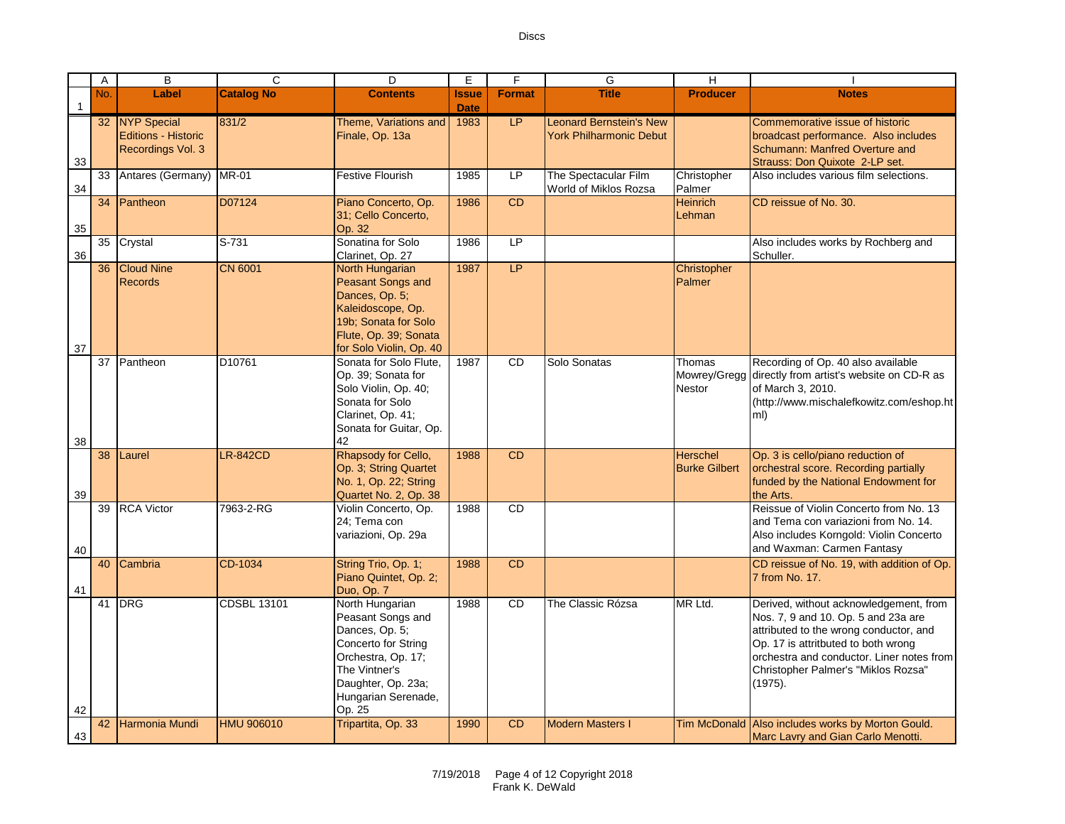|              | A   | $\overline{B}$                                             | $\overline{c}$     | $\overline{D}$                                                                                                                                                              | E.                          | F             | G                                                         | $\overline{H}$                          |                                                                                                                                                                                                                                                               |
|--------------|-----|------------------------------------------------------------|--------------------|-----------------------------------------------------------------------------------------------------------------------------------------------------------------------------|-----------------------------|---------------|-----------------------------------------------------------|-----------------------------------------|---------------------------------------------------------------------------------------------------------------------------------------------------------------------------------------------------------------------------------------------------------------|
| $\mathbf{1}$ | No. | Label                                                      | <b>Catalog No</b>  | <b>Contents</b>                                                                                                                                                             | <b>Issue</b><br><b>Date</b> | <b>Format</b> | <b>Title</b>                                              | <b>Producer</b>                         | <b>Notes</b>                                                                                                                                                                                                                                                  |
| 33           |     | 32 NYP Special<br>Editions - Historic<br>Recordings Vol. 3 | 831/2              | Theme. Variations and<br>Finale, Op. 13a                                                                                                                                    | 1983                        | <b>LP</b>     | <b>Leonard Bernstein's New</b><br>York Philharmonic Debut |                                         | Commemorative issue of historic<br>broadcast performance. Also includes<br>Schumann: Manfred Overture and<br>Strauss: Don Quixote 2-LP set.                                                                                                                   |
| 34           |     | 33 Antares (Germany)                                       | <b>MR-01</b>       | Festive Flourish                                                                                                                                                            | 1985                        | <b>LP</b>     | The Spectacular Film<br>World of Miklos Rozsa             | Christopher<br>Palmer                   | Also includes various film selections.                                                                                                                                                                                                                        |
| 35           |     | 34 Pantheon                                                | D07124             | Piano Concerto, Op.<br>31; Cello Concerto,<br>Op. 32                                                                                                                        | 1986                        | CD            |                                                           | <b>Heinrich</b><br>Lehman               | CD reissue of No. 30.                                                                                                                                                                                                                                         |
| 36           |     | 35 Crystal                                                 | S-731              | Sonatina for Solo<br>Clarinet, Op. 27                                                                                                                                       | 1986                        | LP            |                                                           |                                         | Also includes works by Rochberg and<br>Schuller.                                                                                                                                                                                                              |
| 37           |     | 36 Cloud Nine<br><b>Records</b>                            | <b>CN 6001</b>     | <b>North Hungarian</b><br>Peasant Songs and<br>Dances, Op. 5;<br>Kaleidoscope, Op.<br>19b; Sonata for Solo<br>Flute, Op. 39; Sonata<br>for Solo Violin, Op. 40              | 1987                        | LP            |                                                           | Christopher<br>Palmer                   |                                                                                                                                                                                                                                                               |
| 38           |     | 37 Pantheon                                                | D10761             | Sonata for Solo Flute.<br>Op. 39; Sonata for<br>Solo Violin, Op. 40;<br>Sonata for Solo<br>Clarinet, Op. 41;<br>Sonata for Guitar, Op.<br>42                                | 1987                        | <b>CD</b>     | Solo Sonatas                                              | Thomas<br>Mowrey/Gregg<br>Nestor        | Recording of Op. 40 also available<br>directly from artist's website on CD-R as<br>of March 3, 2010.<br>(http://www.mischalefkowitz.com/eshop.ht<br>ml)                                                                                                       |
| 39           | 38  | Laurel                                                     | <b>LR-842CD</b>    | Rhapsody for Cello,<br>Op. 3; String Quartet<br>No. 1, Op. 22; String<br>Quartet No. 2, Op. 38                                                                              | 1988                        | <b>CD</b>     |                                                           | <b>Herschel</b><br><b>Burke Gilbert</b> | Op. 3 is cello/piano reduction of<br>orchestral score. Recording partially<br>funded by the National Endowment for<br>the Arts.                                                                                                                               |
| 40           |     | 39 RCA Victor                                              | 7963-2-RG          | Violin Concerto, Op.<br>24; Tema con<br>variazioni, Op. 29a                                                                                                                 | 1988                        | <b>CD</b>     |                                                           |                                         | Reissue of Violin Concerto from No. 13<br>and Tema con variazioni from No. 14.<br>Also includes Korngold: Violin Concerto<br>and Waxman: Carmen Fantasy                                                                                                       |
| 41           | 40  | Cambria                                                    | CD-1034            | String Trio, Op. 1;<br>Piano Quintet, Op. 2;<br>Duo, Op. 7                                                                                                                  | 1988                        | <b>CD</b>     |                                                           |                                         | CD reissue of No. 19, with addition of Op.<br>7 from No. 17.                                                                                                                                                                                                  |
| 42           |     | 41 DRG                                                     | <b>CDSBL 13101</b> | North Hungarian<br>Peasant Songs and<br>Dances, Op. 5;<br>Concerto for String<br>Orchestra, Op. 17;<br>The Vintner's<br>Daughter, Op. 23a;<br>Hungarian Serenade,<br>Op. 25 | 1988                        | <b>CD</b>     | The Classic Rózsa                                         | MR Ltd.                                 | Derived, without acknowledgement, from<br>Nos. 7, 9 and 10. Op. 5 and 23a are<br>attributed to the wrong conductor, and<br>Op. 17 is attritbuted to both wrong<br>orchestra and conductor. Liner notes from<br>Christopher Palmer's "Miklos Rozsa"<br>(1975). |
| 43           |     | 42 Harmonia Mundi                                          | <b>HMU 906010</b>  | Tripartita, Op. 33                                                                                                                                                          | 1990                        | <b>CD</b>     | <b>Modern Masters I</b>                                   |                                         | Tim McDonald Also includes works by Morton Gould.<br>Marc Lavry and Gian Carlo Menotti.                                                                                                                                                                       |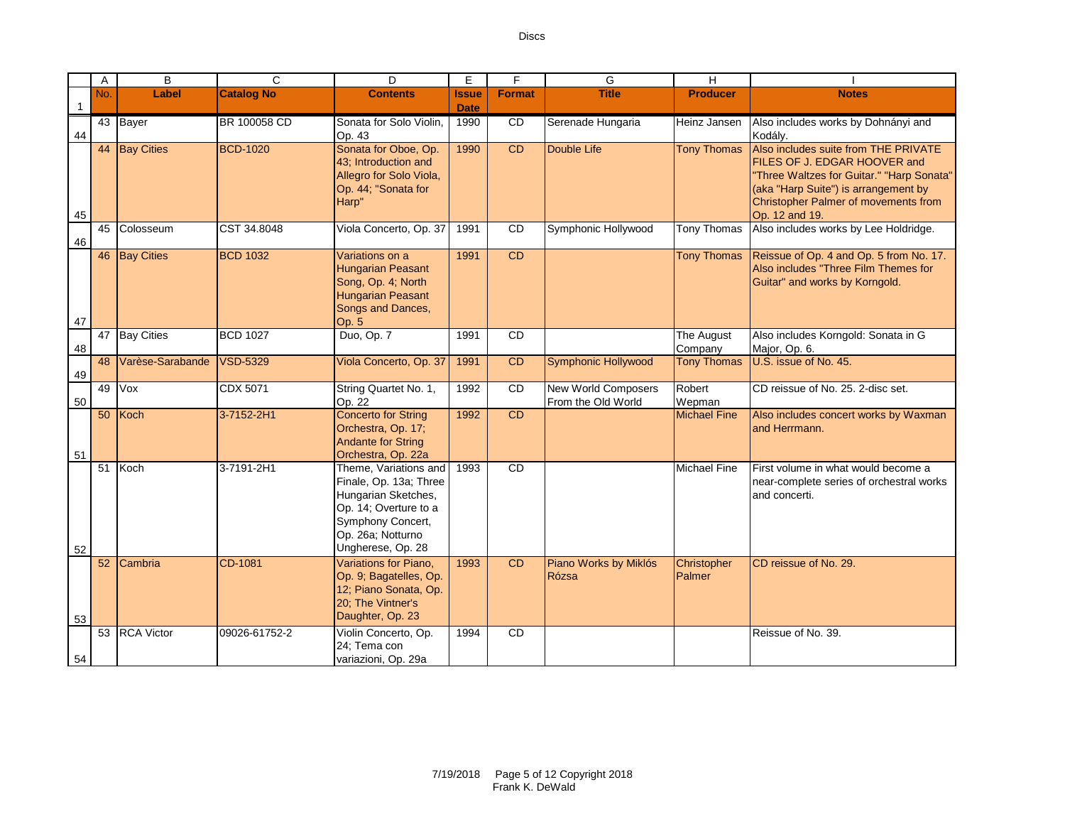|              | A   | $\overline{B}$    | $\mathsf{C}$        | D.                                                                                                                                                             | F            | E               | G                                                | Η                     |                                                                                                                                                                                                                     |
|--------------|-----|-------------------|---------------------|----------------------------------------------------------------------------------------------------------------------------------------------------------------|--------------|-----------------|--------------------------------------------------|-----------------------|---------------------------------------------------------------------------------------------------------------------------------------------------------------------------------------------------------------------|
|              | No. | Label             | <b>Catalog No</b>   | <b>Contents</b>                                                                                                                                                | <b>Issue</b> | <b>Format</b>   | <b>Title</b>                                     | <b>Producer</b>       | <b>Notes</b>                                                                                                                                                                                                        |
| $\mathbf{1}$ |     |                   |                     |                                                                                                                                                                | <b>Date</b>  |                 |                                                  |                       |                                                                                                                                                                                                                     |
| 44           |     | 43 Bayer          | <b>BR</b> 100058 CD | Sonata for Solo Violin.<br>Op. 43                                                                                                                              | 1990         | $\overline{CD}$ | Serenade Hungaria                                | Heinz Jansen          | Also includes works by Dohnányi and<br>Kodálv.                                                                                                                                                                      |
| 45           |     | 44 Bay Cities     | <b>BCD-1020</b>     | Sonata for Oboe, Op.<br>43; Introduction and<br>Allegro for Solo Viola,<br>Op. 44; "Sonata for<br>Harp"                                                        | 1990         | CD              | Double Life                                      | <b>Tony Thomas</b>    | Also includes suite from THE PRIVATE<br>FILES OF J. EDGAR HOOVER and<br>"Three Waltzes for Guitar." "Harp Sonata"<br>(aka "Harp Suite") is arrangement by<br>Christopher Palmer of movements from<br>Op. 12 and 19. |
| 46           | 45  | Colosseum         | CST 34.8048         | Viola Concerto, Op. 37                                                                                                                                         | 1991         | <b>CD</b>       | Symphonic Hollywood                              | Tony Thomas           | Also includes works by Lee Holdridge.                                                                                                                                                                               |
| 47           | 46  | <b>Bay Cities</b> | <b>BCD 1032</b>     | Variations on a<br><b>Hungarian Peasant</b><br>Song, Op. 4; North<br><b>Hungarian Peasant</b><br>Songs and Dances,<br>Op. 5                                    | 1991         | CD              |                                                  | <b>Tony Thomas</b>    | Reissue of Op. 4 and Op. 5 from No. 17.<br>Also includes "Three Film Themes for<br>Guitar" and works by Korngold.                                                                                                   |
| 48           | 47  | <b>Bay Cities</b> | <b>BCD 1027</b>     | Duo, Op. 7                                                                                                                                                     | 1991         | <b>CD</b>       |                                                  | The August<br>Company | Also includes Korngold: Sonata in G<br>Major, Op. 6.                                                                                                                                                                |
| 49           | 48  | Varèse-Sarabande  | VSD-5329            | Viola Concerto, Op. 37                                                                                                                                         | 1991         | CD              | <b>Symphonic Hollywood</b>                       | <b>Tony Thomas</b>    | U.S. issue of No. 45.                                                                                                                                                                                               |
| 50           | 49  | Vox               | CDX 5071            | String Quartet No. 1,<br>Op. 22                                                                                                                                | 1992         | CD              | <b>New World Composers</b><br>From the Old World | Robert<br>Wepman      | CD reissue of No. 25, 2-disc set.                                                                                                                                                                                   |
| 51           |     | 50 Koch           | 3-7152-2H1          | <b>Concerto for String</b><br>Orchestra, Op. 17;<br><b>Andante for String</b><br>Orchestra, Op. 22a                                                            | 1992         | CD              |                                                  | <b>Michael Fine</b>   | Also includes concert works by Waxman<br>and Herrmann.                                                                                                                                                              |
| 52           | 51  | Koch              | 3-7191-2H1          | Theme, Variations and<br>Finale, Op. 13a; Three<br>Hungarian Sketches,<br>Op. 14; Overture to a<br>Symphony Concert,<br>Op. 26a; Notturno<br>Ungherese, Op. 28 | 1993         | CD              |                                                  | <b>Michael Fine</b>   | First volume in what would become a<br>near-complete series of orchestral works<br>and concerti.                                                                                                                    |
| 53           | 52  | Cambria           | CD-1081             | Variations for Piano.<br>Op. 9; Bagatelles, Op.<br>12; Piano Sonata, Op.<br>20; The Vintner's<br>Daughter, Op. 23                                              | 1993         | CD              | Piano Works by Miklós<br>Rózsa                   | Christopher<br>Palmer | CD reissue of No. 29.                                                                                                                                                                                               |
| 54           | 53  | <b>RCA Victor</b> | 09026-61752-2       | Violin Concerto, Op.<br>24; Tema con<br>variazioni, Op. 29a                                                                                                    | 1994         | CD              |                                                  |                       | Reissue of No. 39.                                                                                                                                                                                                  |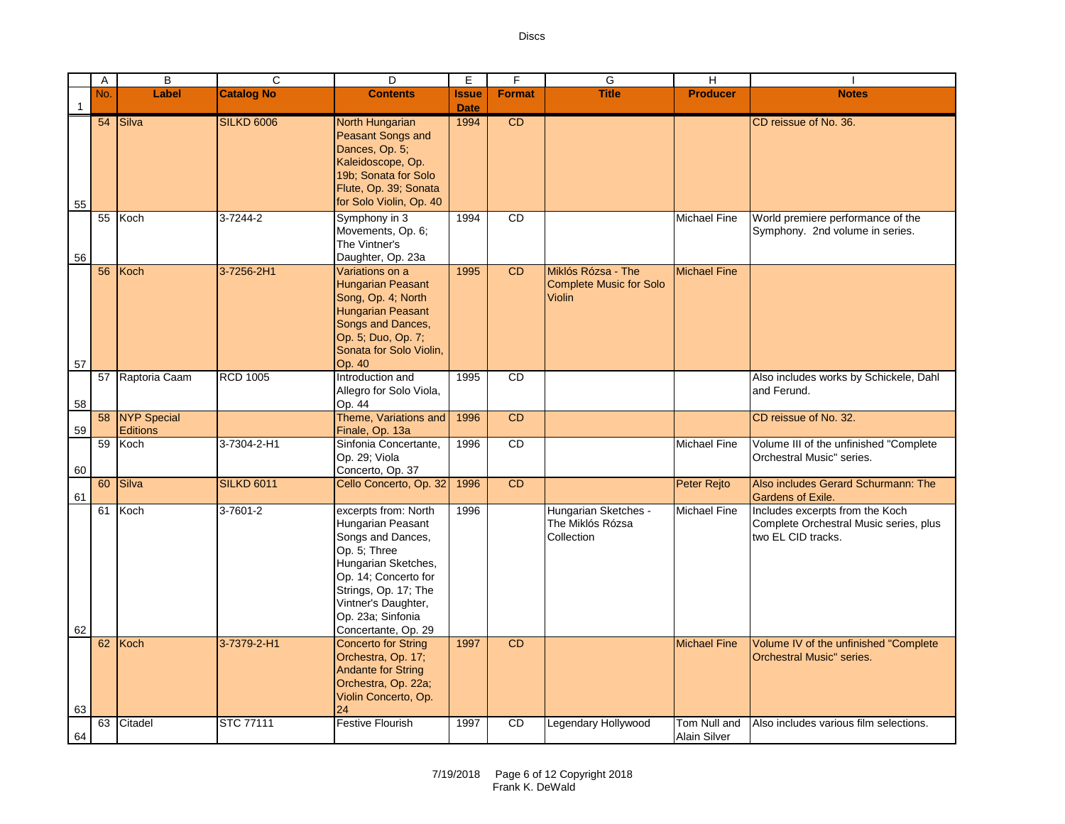|              | Α        | B                              | C                       | D                                                                                                                                                                                                                                                      | Е                           | F             | G                                                              | H                                   |                                                                                                                                           |
|--------------|----------|--------------------------------|-------------------------|--------------------------------------------------------------------------------------------------------------------------------------------------------------------------------------------------------------------------------------------------------|-----------------------------|---------------|----------------------------------------------------------------|-------------------------------------|-------------------------------------------------------------------------------------------------------------------------------------------|
| $\mathbf{1}$ | No.      | Label                          | <b>Catalog No</b>       | <b>Contents</b>                                                                                                                                                                                                                                        | <b>Issue</b><br><b>Date</b> | <b>Format</b> | <b>Title</b>                                                   | <b>Producer</b>                     | <b>Notes</b>                                                                                                                              |
| 55           |          | 54 Silva                       | <b>SILKD 6006</b>       | North Hungarian<br>Peasant Songs and<br>Dances, Op. 5;<br>Kaleidoscope, Op.<br>19b; Sonata for Solo<br>Flute, Op. 39; Sonata<br>for Solo Violin, Op. 40                                                                                                | 1994                        | CD            |                                                                |                                     | CD reissue of No. 36.                                                                                                                     |
| 56           | 55       | Koch                           | 3-7244-2                | Symphony in 3<br>Movements, Op. 6;<br>The Vintner's<br>Daughter, Op. 23a                                                                                                                                                                               | 1994                        | <b>CD</b>     |                                                                | Michael Fine                        | World premiere performance of the<br>Symphony. 2nd volume in series.                                                                      |
| 57           | 56       | Koch                           | 3-7256-2H1              | Variations on a<br><b>Hungarian Peasant</b><br>Song, Op. 4; North<br><b>Hungarian Peasant</b><br>Songs and Dances,<br>Op. 5; Duo, Op. 7;<br>Sonata for Solo Violin,<br>Op. 40                                                                          | 1995                        | <b>CD</b>     | Miklós Rózsa - The<br>Complete Music for Solo<br><b>Violin</b> | <b>Michael Fine</b>                 |                                                                                                                                           |
| 58           | 57       | Raptoria Caam                  | <b>RCD 1005</b>         | Introduction and<br>Allegro for Solo Viola,<br>Op. 44                                                                                                                                                                                                  | 1995                        | <b>CD</b>     |                                                                |                                     | Also includes works by Schickele, Dahl<br>and Ferund.                                                                                     |
| 59           | 58       | NYP Special<br><b>Editions</b> |                         | Theme, Variations and<br>Finale, Op. 13a                                                                                                                                                                                                               | 1996                        | <b>CD</b>     |                                                                |                                     | CD reissue of No. 32.                                                                                                                     |
| 60           | 59       | Koch                           | 3-7304-2-H1             | Sinfonia Concertante.<br>Op. 29; Viola<br>Concerto, Op. 37                                                                                                                                                                                             | 1996                        | <b>CD</b>     |                                                                | <b>Michael Fine</b>                 | Volume III of the unfinished "Complete<br>Orchestral Music" series.                                                                       |
| 61           | 60       | Silva                          | <b>SILKD 6011</b>       | Cello Concerto, Op. 32                                                                                                                                                                                                                                 | 1996                        | <b>CD</b>     |                                                                | Peter Rejto                         | Also includes Gerard Schurmann: The<br>Gardens of Exile.                                                                                  |
| 62           | 61<br>62 | Koch<br>Koch                   | 3-7601-2<br>3-7379-2-H1 | excerpts from: North<br>Hungarian Peasant<br>Songs and Dances,<br>Op. 5; Three<br>Hungarian Sketches,<br>Op. 14; Concerto for<br>Strings, Op. 17; The<br>Vintner's Daughter,<br>Op. 23a; Sinfonia<br>Concertante, Op. 29<br><b>Concerto for String</b> | 1996<br>1997                | <b>CD</b>     | Hungarian Sketches -<br>The Miklós Rózsa<br>Collection         | Michael Fine<br><b>Michael Fine</b> | Includes excerpts from the Koch<br>Complete Orchestral Music series, plus<br>two EL CID tracks.<br>Volume IV of the unfinished "Complete" |
| 63           |          |                                |                         | Orchestra, Op. 17;<br><b>Andante for String</b><br>Orchestra, Op. 22a;<br>Violin Concerto, Op.<br>24                                                                                                                                                   |                             |               |                                                                |                                     | <b>Orchestral Music" series.</b>                                                                                                          |
| 64           | 63       | Citadel                        | <b>STC 77111</b>        | <b>Festive Flourish</b>                                                                                                                                                                                                                                | 1997                        | <b>CD</b>     | Legendary Hollywood                                            | Tom Null and<br><b>Alain Silver</b> | Also includes various film selections.                                                                                                    |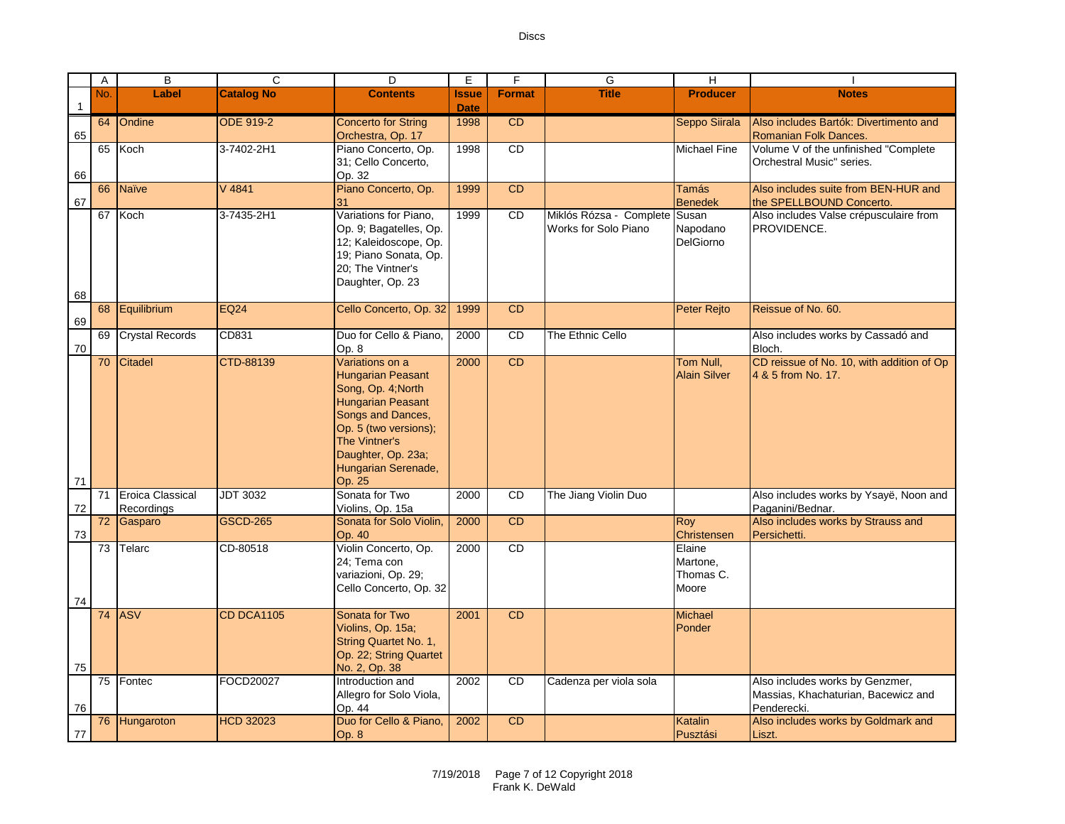|              |                                              |                   |                                                                                                                                                                                                                                                                                                                                                             |                             | <b>Discs</b>    |                                                       |                                                       |                                                                        |
|--------------|----------------------------------------------|-------------------|-------------------------------------------------------------------------------------------------------------------------------------------------------------------------------------------------------------------------------------------------------------------------------------------------------------------------------------------------------------|-----------------------------|-----------------|-------------------------------------------------------|-------------------------------------------------------|------------------------------------------------------------------------|
| $\mathsf{A}$ | B                                            | $\mathsf{C}$      | D                                                                                                                                                                                                                                                                                                                                                           | E                           | F               | G                                                     | H                                                     |                                                                        |
| No.          | Label                                        | <b>Catalog No</b> | <b>Contents</b>                                                                                                                                                                                                                                                                                                                                             | <b>Issue</b><br><b>Date</b> | <b>Format</b>   | <b>Title</b>                                          | <b>Producer</b>                                       | <b>Notes</b>                                                           |
|              | 64 Ondine                                    | <b>ODE 919-2</b>  | <b>Concerto for String</b><br>Orchestra, Op. 17                                                                                                                                                                                                                                                                                                             | 1998                        | CD              |                                                       | Seppo Siirala                                         | Also includes Bartók: Divertimento and<br><b>Romanian Folk Dances.</b> |
|              | 65 Koch                                      | 3-7402-2H1        | Piano Concerto, Op.<br>31; Cello Concerto,<br>Op. 32                                                                                                                                                                                                                                                                                                        | 1998                        | CD              |                                                       | <b>Michael Fine</b>                                   | Volume V of the unfinished "Complete<br>Orchestral Music" series.      |
| 66           | Naïve                                        | V 4841            | Piano Concerto, Op.<br>31                                                                                                                                                                                                                                                                                                                                   | 1999                        | CD              |                                                       | <b>Tamás</b><br><b>Benedek</b>                        | Also includes suite from BEN-HUR and<br>the SPELLBOUND Concerto.       |
|              | 67 Koch                                      | 3-7435-2H1        | Variations for Piano,<br>Op. 9; Bagatelles, Op.<br>12; Kaleidoscope, Op.<br>19; Piano Sonata, Op.<br>20; The Vintner's<br>Daughter, Op. 23                                                                                                                                                                                                                  | 1999                        | CD              | Miklós Rózsa - Complete Susan<br>Works for Solo Piano | Napodano<br>DelGiorno                                 | Also includes Valse crépusculaire from<br>PROVIDENCE.                  |
| 68           | Equilibrium                                  | <b>EQ24</b>       | Cello Concerto, Op. 32                                                                                                                                                                                                                                                                                                                                      | 1999                        | <b>CD</b>       |                                                       | Peter Rejto                                           | Reissue of No. 60.                                                     |
| 69           | <b>Crystal Records</b>                       | CD831             | Duo for Cello & Piano,<br>Op. 8                                                                                                                                                                                                                                                                                                                             | 2000                        | $\overline{CD}$ | The Ethnic Cello                                      |                                                       | Also includes works by Cassadó and<br>Bloch.                           |
| 70           | Citadel                                      | CTD-88139         | Variations on a<br>Hungarian Peasant<br>Song, Op. 4; North<br>Hungarian Peasant<br>Songs and Dances,<br>Op. 5 (two versions);<br>The Vintner's<br>Daughter, Op. 23a;<br>Hungarian Serenade,<br>Op. 25                                                                                                                                                       | 2000                        | CD              |                                                       | Tom Null,<br><b>Alain Silver</b>                      | CD reissue of No. 10, with addition of Op<br>4 & 5 from No. 17.        |
| 71           | <b>Eroica Classical</b><br><b>Recordings</b> | <b>JDT 3032</b>   | Sonata for Two<br>Violins, Op. 15a                                                                                                                                                                                                                                                                                                                          | 2000                        | CD              | The Jiang Violin Duo                                  |                                                       | Also includes works by Ysayë, Noon and<br>Paganini/Bednar.             |
|              | 72 Gasparo                                   | <b>GSCD-265</b>   | Sonata for Solo Violin,<br>Op. 40                                                                                                                                                                                                                                                                                                                           | 2000                        | <b>CD</b>       |                                                       | <b>Roy</b><br>Christensen                             | Also includes works by Strauss and<br>Persichetti.                     |
|              | 73 Telarc                                    | CD-80518          | Violin Concerto, Op.<br>24; Tema con<br>$\frac{1}{2}$ $\frac{1}{2}$ $\frac{1}{2}$ $\frac{1}{2}$ $\frac{1}{2}$ $\frac{1}{2}$ $\frac{1}{2}$ $\frac{1}{2}$ $\frac{1}{2}$ $\frac{1}{2}$ $\frac{1}{2}$ $\frac{1}{2}$ $\frac{1}{2}$ $\frac{1}{2}$ $\frac{1}{2}$ $\frac{1}{2}$ $\frac{1}{2}$ $\frac{1}{2}$ $\frac{1}{2}$ $\frac{1}{2}$ $\frac{1}{2}$ $\frac{1}{2}$ | 2000                        | <b>CD</b>       |                                                       | Elaine<br>Martone,<br>$T_{\text{beam}}$ $\sim$ $\sim$ |                                                                        |

1

2 65

66 67

68 69 70

71

72 73  $\overline{71}$ 

| 74  |               |                   | 24. Tema con<br>variazioni, Op. 29;<br>Cello Concerto, Op. 32                                           |      |           |                        | iviarione,<br>Thomas C.<br>Moore |                                                                                       |
|-----|---------------|-------------------|---------------------------------------------------------------------------------------------------------|------|-----------|------------------------|----------------------------------|---------------------------------------------------------------------------------------|
| 75  | <b>74 ASV</b> | <b>CD DCA1105</b> | Sonata for Two<br>Violins, Op. 15a;<br>String Quartet No. 1,<br>Op. 22; String Quartet<br>No. 2, Op. 38 | 2001 | CD        |                        | Michael<br>Ponder                |                                                                                       |
| 76  | 75 Fontec     | FOCD20027         | Introduction and<br>Allegro for Solo Viola,<br>Op. 44                                                   | 2002 | <b>CD</b> | Cadenza per viola sola |                                  | Also includes works by Genzmer,<br>Massias, Khachaturian, Bacewicz and<br>Penderecki. |
| -77 | 76 Hungaroton | <b>HCD 32023</b>  | Duo for Cello & Piano,<br>Op.8                                                                          | 2002 | CD        |                        | Katalin<br>Pusztási              | Also includes works by Goldmark and<br>Liszt.                                         |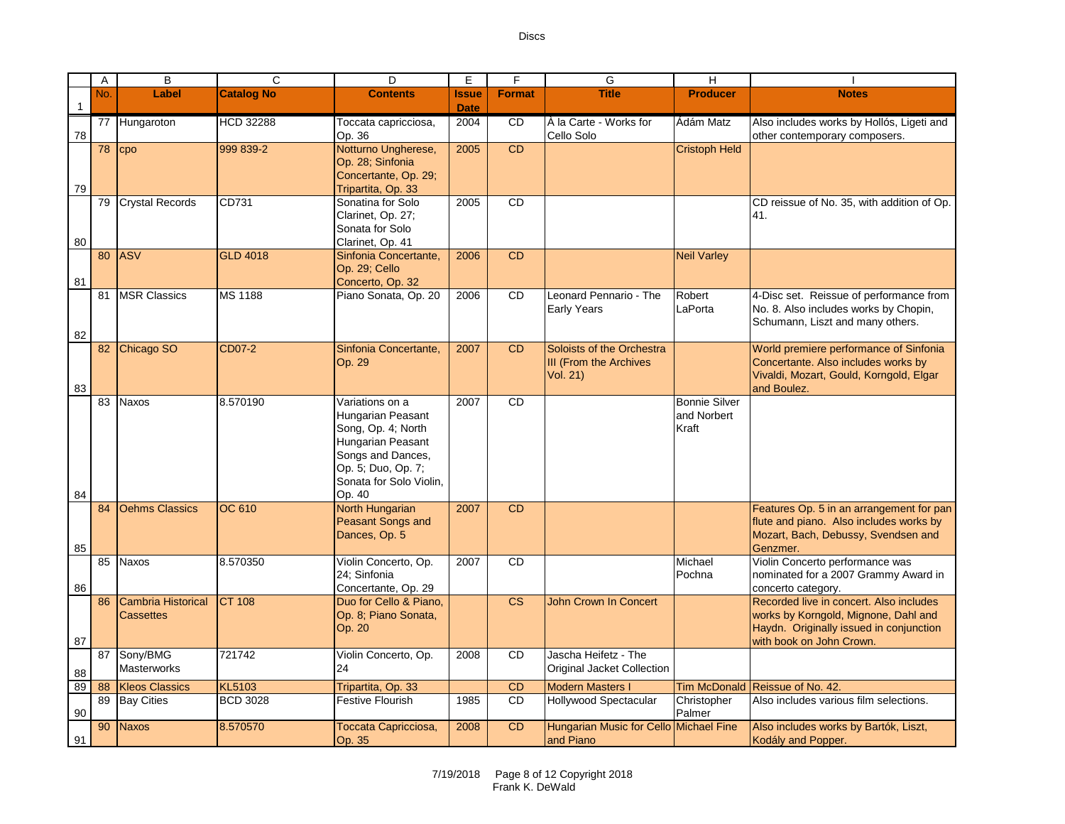|    | A        | $\overline{B}$                         | $\overline{\text{c}}$ | $\overline{D}$                                                                                                                                                  | E                           | F               | G                                                   | π                                            |                                                                                                                                                        |
|----|----------|----------------------------------------|-----------------------|-----------------------------------------------------------------------------------------------------------------------------------------------------------------|-----------------------------|-----------------|-----------------------------------------------------|----------------------------------------------|--------------------------------------------------------------------------------------------------------------------------------------------------------|
|    | No.      | Label                                  | <b>Catalog No</b>     | <b>Contents</b>                                                                                                                                                 | <b>Issue</b><br><b>Date</b> | <b>Format</b>   | <b>Title</b>                                        | <b>Producer</b>                              | <b>Notes</b>                                                                                                                                           |
|    |          | 77 Hungaroton                          | <b>HCD 32288</b>      | Toccata capricciosa,                                                                                                                                            | 2004                        | CD              | À la Carte - Works for                              | Ádám Matz                                    | Also includes works by Hollós, Ligeti and                                                                                                              |
| 78 |          |                                        |                       | Op. 36                                                                                                                                                          |                             |                 | Cello Solo                                          |                                              | other contemporary composers.                                                                                                                          |
| 79 | $78$ cpo |                                        | 999 839-2             | Notturno Ungherese,<br>Op. 28; Sinfonia<br>Concertante, Op. 29;<br>Tripartita, Op. 33                                                                           | 2005                        | CD              |                                                     | <b>Cristoph Held</b>                         |                                                                                                                                                        |
|    | 79       | <b>Crystal Records</b>                 | CD731                 | Sonatina for Solo                                                                                                                                               | 2005                        | <b>CD</b>       |                                                     |                                              | CD reissue of No. 35, with addition of Op.                                                                                                             |
| 80 |          |                                        |                       | Clarinet, Op. 27;<br>Sonata for Solo<br>Clarinet, Op. 41                                                                                                        |                             |                 |                                                     |                                              | 41.                                                                                                                                                    |
| 81 |          | 80 ASV                                 | <b>GLD 4018</b>       | Sinfonia Concertante,<br>Op. 29; Cello<br>Concerto, Op. 32                                                                                                      | 2006                        | CD              |                                                     | <b>Neil Varley</b>                           |                                                                                                                                                        |
|    |          | 81   MSR Classics                      | <b>MS 1188</b>        | Piano Sonata, Op. 20                                                                                                                                            | 2006                        | CD              | Leonard Pennario - The<br><b>Early Years</b>        | Robert<br>LaPorta                            | 4-Disc set. Reissue of performance from<br>No. 8. Also includes works by Chopin,<br>Schumann, Liszt and many others.                                   |
| 82 |          |                                        | CD07-2                |                                                                                                                                                                 |                             | <b>CD</b>       | Soloists of the Orchestra                           |                                              | World premiere performance of Sinfonia                                                                                                                 |
| 83 |          | 82 Chicago SO                          |                       | Sinfonia Concertante,<br>Op. 29                                                                                                                                 | 2007                        |                 | <b>III (From the Archives</b><br><b>Vol. 21)</b>    |                                              | Concertante. Also includes works by<br>Vivaldi, Mozart, Gould, Korngold, Elgar<br>and Boulez.                                                          |
| 84 | 83       | <b>Naxos</b>                           | 8.570190              | Variations on a<br>Hungarian Peasant<br>Song, Op. 4; North<br>Hungarian Peasant<br>Songs and Dances,<br>Op. 5; Duo, Op. 7;<br>Sonata for Solo Violin,<br>Op. 40 | 2007                        | <b>CD</b>       |                                                     | <b>Bonnie Silver</b><br>and Norbert<br>Kraft |                                                                                                                                                        |
| 85 | 84       | <b>Oehms Classics</b>                  | OC 610                | North Hungarian<br>Peasant Songs and<br>Dances, Op. 5                                                                                                           | 2007                        | <b>CD</b>       |                                                     |                                              | Features Op. 5 in an arrangement for pan<br>flute and piano. Also includes works by<br>Mozart, Bach, Debussy, Svendsen and<br>Genzmer.                 |
| 86 | 85       | <b>Naxos</b>                           | 8.570350              | Violin Concerto, Op.<br>24; Sinfonia<br>Concertante, Op. 29                                                                                                     | 2007                        | <b>CD</b>       |                                                     | Michael<br>Pochna                            | Violin Concerto performance was<br>nominated for a 2007 Grammy Award in<br>concerto category.                                                          |
| 87 | 86       | Cambria Historical<br><b>Cassettes</b> | <b>CT 108</b>         | Duo for Cello & Piano,<br>Op. 8; Piano Sonata,<br>Op. 20                                                                                                        |                             | <b>CS</b>       | John Crown In Concert                               |                                              | Recorded live in concert. Also includes<br>works by Korngold, Mignone, Dahl and<br>Haydn. Originally issued in conjunction<br>with book on John Crown. |
| 88 | 87       | Sony/BMG<br><b>Masterworks</b>         | 721742                | Violin Concerto, Op.<br>24                                                                                                                                      | 2008                        | CD              | Jascha Heifetz - The<br>Original Jacket Collection  |                                              |                                                                                                                                                        |
| 89 |          | 88   Kleos Classics                    | <b>KL5103</b>         | Tripartita, Op. 33                                                                                                                                              |                             | CD              | <b>Modern Masters I</b>                             | <b>Tim McDonald</b>                          | Reissue of No. 42.                                                                                                                                     |
| 90 |          | 89 Bay Cities                          | <b>BCD 3028</b>       | <b>Festive Flourish</b>                                                                                                                                         | 1985                        | $\overline{CD}$ | <b>Hollywood Spectacular</b>                        | Christopher<br>Palmer                        | Also includes various film selections.                                                                                                                 |
| 91 | 90       | <b>Naxos</b>                           | 8.570570              | Toccata Capricciosa,<br>Op. 35                                                                                                                                  | 2008                        | CD              | Hungarian Music for Cello Michael Fine<br>and Piano |                                              | Also includes works by Bartók, Liszt,<br>Kodály and Popper.                                                                                            |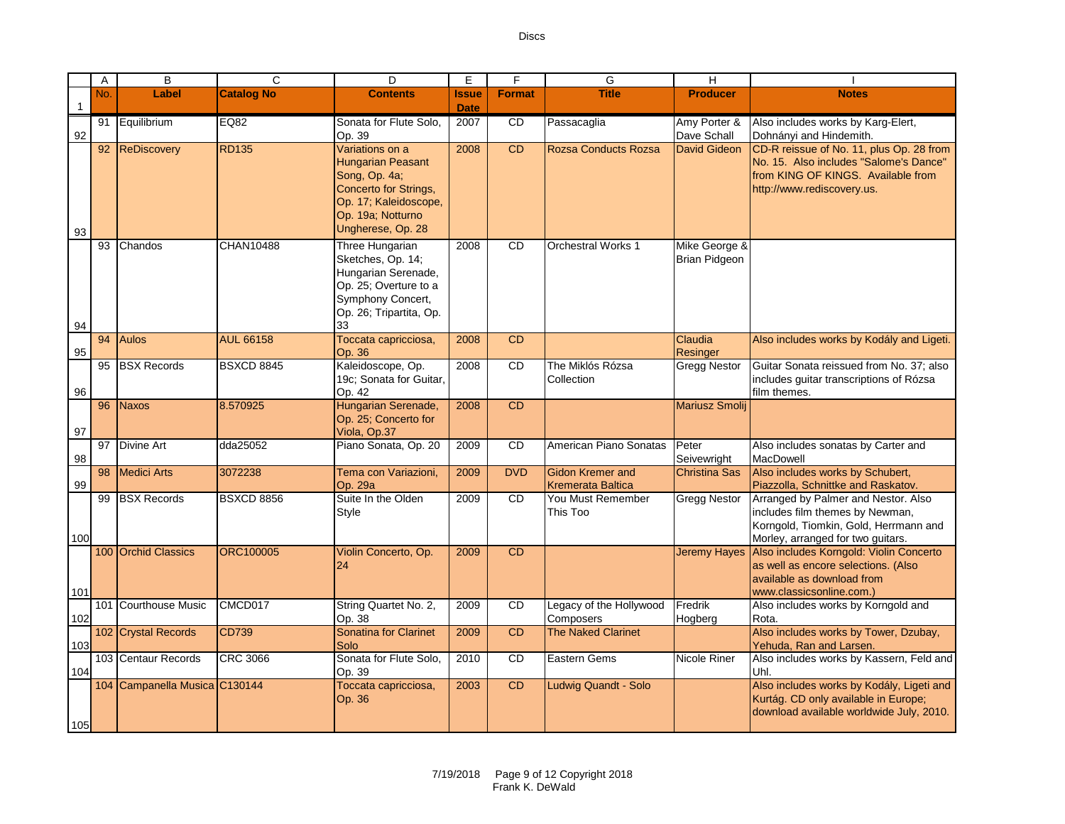|                | A   | B                             | C                 | D                                                                                                                                                        | E            | F             | G                                                   | H.                                    |                                                                                                                                                        |
|----------------|-----|-------------------------------|-------------------|----------------------------------------------------------------------------------------------------------------------------------------------------------|--------------|---------------|-----------------------------------------------------|---------------------------------------|--------------------------------------------------------------------------------------------------------------------------------------------------------|
|                | No. | Label                         | <b>Catalog No</b> | <b>Contents</b>                                                                                                                                          | <b>Issue</b> | <b>Format</b> | <b>Title</b>                                        | <b>Producer</b>                       | <b>Notes</b>                                                                                                                                           |
| $\overline{1}$ |     |                               |                   |                                                                                                                                                          | <b>Date</b>  |               |                                                     |                                       |                                                                                                                                                        |
| 92             |     | 91 Equilibrium                | EQ82              | Sonata for Flute Solo.<br>Op. 39                                                                                                                         | 2007         | CD            | Passacaglia                                         | Amy Porter &<br>Dave Schall           | Also includes works by Karg-Elert,<br>Dohnányi and Hindemith.                                                                                          |
| 93             | 92  | ReDiscovery                   | <b>RD135</b>      | Variations on a<br><b>Hungarian Peasant</b><br>Song, Op. 4a;<br>Concerto for Strings,<br>Op. 17; Kaleidoscope,<br>Op. 19a; Notturno<br>Ungherese, Op. 28 | 2008         | CD            | <b>Rozsa Conducts Rozsa</b>                         | David Gideon                          | CD-R reissue of No. 11, plus Op. 28 from<br>No. 15. Also includes "Salome's Dance"<br>from KING OF KINGS. Available from<br>http://www.rediscovery.us. |
| 94             | 93  | Chandos                       | CHAN10488         | Three Hungarian<br>Sketches, Op. 14;<br>Hungarian Serenade,<br>Op. 25; Overture to a<br>Symphony Concert,<br>Op. 26; Tripartita, Op.<br>33               | 2008         | <b>CD</b>     | <b>Orchestral Works 1</b>                           | Mike George &<br><b>Brian Pidgeon</b> |                                                                                                                                                        |
| 95             | 94  | <b>Aulos</b>                  | <b>AUL 66158</b>  | Toccata capricciosa,<br>Op. 36                                                                                                                           | 2008         | <b>CD</b>     |                                                     | Claudia<br>Resinger                   | Also includes works by Kodály and Ligeti.                                                                                                              |
| 96             |     | 95 BSX Records                | <b>BSXCD 8845</b> | Kaleidoscope, Op.<br>19c; Sonata for Guitar,<br>Op. 42                                                                                                   | 2008         | <b>CD</b>     | The Miklós Rózsa<br>Collection                      | <b>Gregg Nestor</b>                   | Guitar Sonata reissued from No. 37: also<br>includes guitar transcriptions of Rózsa<br>film themes.                                                    |
| 97             | 96  | <b>Naxos</b>                  | 8.570925          | Hungarian Serenade,<br>Op. 25; Concerto for<br>Viola, Op.37                                                                                              | 2008         | CD            |                                                     | <b>Mariusz Smolii</b>                 |                                                                                                                                                        |
| 98             |     | 97 Divine Art                 | dda25052          | Piano Sonata, Op. 20                                                                                                                                     | 2009         | <b>CD</b>     | American Piano Sonatas                              | Peter<br>Seivewright                  | Also includes sonatas by Carter and<br>MacDowell                                                                                                       |
| 99             | 98  | <b>Medici Arts</b>            | 3072238           | Tema con Variazioni,<br>Op. 29a                                                                                                                          | 2009         | <b>DVD</b>    | <b>Gidon Kremer and</b><br><b>Kremerata Baltica</b> | <b>Christina Sas</b>                  | Also includes works by Schubert,<br>Piazzolla, Schnittke and Raskatov.                                                                                 |
| 100            |     | 99 BSX Records                | <b>BSXCD 8856</b> | Suite In the Olden<br>Style                                                                                                                              | 2009         | <b>CD</b>     | You Must Remember<br>This Too                       | <b>Gregg Nestor</b>                   | Arranged by Palmer and Nestor. Also<br>includes film themes by Newman,<br>Korngold, Tiomkin, Gold, Herrmann and<br>Morley, arranged for two guitars.   |
| 101            |     | 100 Orchid Classics           | <b>ORC100005</b>  | Violin Concerto, Op.<br>24                                                                                                                               | 2009         | <b>CD</b>     |                                                     | <b>Jeremy Hayes</b>                   | Also includes Korngold: Violin Concerto<br>as well as encore selections. (Also<br>available as download from<br>www.classicsonline.com.)               |
| 102            |     | 101 Courthouse Music          | CMCD017           | String Quartet No. 2,<br>Op. 38                                                                                                                          | 2009         | <b>CD</b>     | Legacy of the Hollywood<br>Composers                | Fredrik<br>Hogberg                    | Also includes works by Korngold and<br>Rota.                                                                                                           |
| 103            |     | 102 Crystal Records           | CD739             | <b>Sonatina for Clarinet</b><br>Solo                                                                                                                     | 2009         | <b>CD</b>     | <b>The Naked Clarinet</b>                           |                                       | Also includes works by Tower, Dzubay,<br>Yehuda, Ran and Larsen.                                                                                       |
| 104            |     | 103 Centaur Records           | <b>CRC 3066</b>   | Sonata for Flute Solo,<br>Op. 39                                                                                                                         | 2010         | <b>CD</b>     | Eastern Gems                                        | Nicole Riner                          | Also includes works by Kassern, Feld and<br>Uhl.                                                                                                       |
| 105            |     | 104 Campanella Musica C130144 |                   | Toccata capricciosa,<br>Op. 36                                                                                                                           | 2003         | <b>CD</b>     | Ludwig Quandt - Solo                                |                                       | Also includes works by Kodály, Ligeti and<br>Kurtág. CD only available in Europe;<br>download available worldwide July, 2010.                          |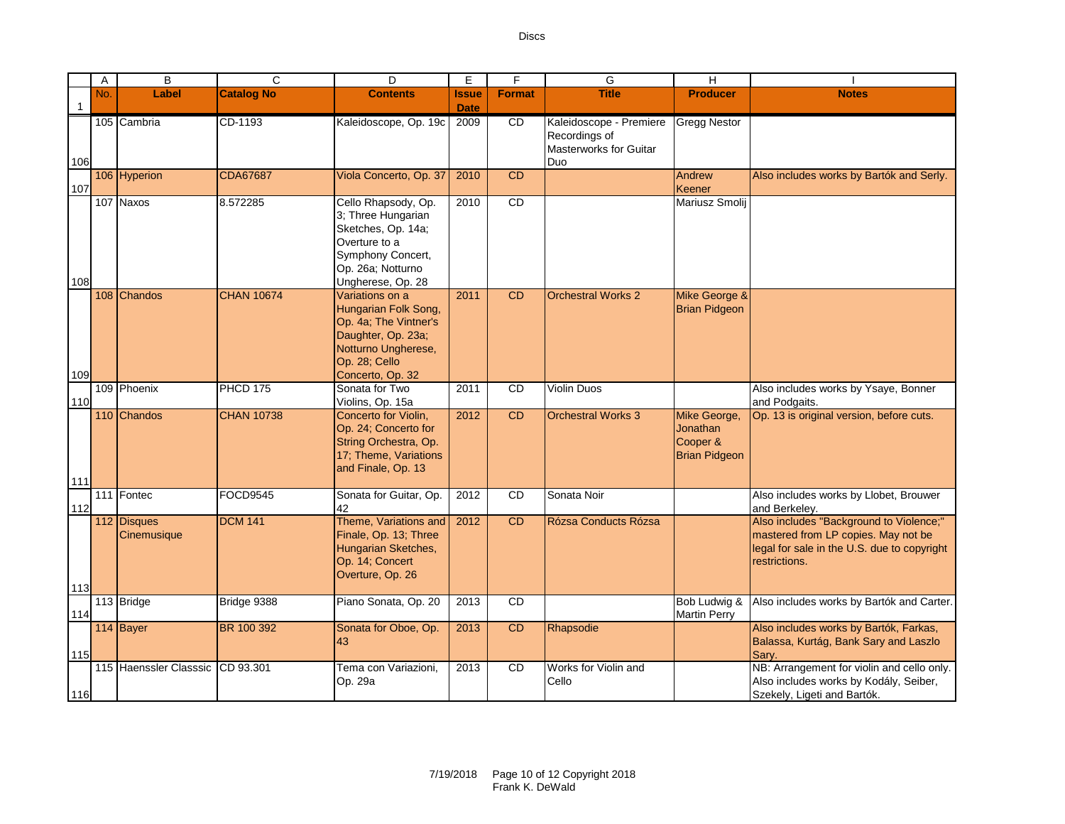|              | Α   | B                          | C                 | D                                                                                                                                               | Ε                           | F             | G                                                                         | H                                                            |                                                                                                                                                |
|--------------|-----|----------------------------|-------------------|-------------------------------------------------------------------------------------------------------------------------------------------------|-----------------------------|---------------|---------------------------------------------------------------------------|--------------------------------------------------------------|------------------------------------------------------------------------------------------------------------------------------------------------|
| $\mathbf{1}$ | No. | Label                      | <b>Catalog No</b> | <b>Contents</b>                                                                                                                                 | <b>Issue</b><br><b>Date</b> | <b>Format</b> | <b>Title</b>                                                              | <b>Producer</b>                                              | <b>Notes</b>                                                                                                                                   |
| 106          |     | 105 Cambria                | CD-1193           | Kaleidoscope, Op. 19c                                                                                                                           | 2009                        | CD            | Kaleidoscope - Premiere<br>Recordings of<br>Masterworks for Guitar<br>Duo | <b>Gregg Nestor</b>                                          |                                                                                                                                                |
| 107          |     | 106 Hyperion               | <b>CDA67687</b>   | Viola Concerto, Op. 37                                                                                                                          | 2010                        | <b>CD</b>     |                                                                           | Andrew<br>Keener                                             | Also includes works by Bartók and Serly.                                                                                                       |
| 108          |     | 107 Naxos                  | 8.572285          | Cello Rhapsody, Op.<br>3; Three Hungarian<br>Sketches, Op. 14a;<br>Overture to a<br>Symphony Concert,<br>Op. 26a; Notturno<br>Ungherese, Op. 28 | 2010                        | CD            |                                                                           | Mariusz Smolij                                               |                                                                                                                                                |
|              |     | 108 Chandos                | <b>CHAN 10674</b> | Variations on a<br>Hungarian Folk Song,<br>Op. 4a; The Vintner's<br>Daughter, Op. 23a;<br>Notturno Ungherese,<br>Op. 28; Cello                  | 2011                        | CD            | <b>Orchestral Works 2</b>                                                 | Mike George &<br><b>Brian Pidgeon</b>                        |                                                                                                                                                |
| 109<br>110   |     | 109 Phoenix                | PHCD 175          | Concerto, Op. 32<br>Sonata for Two<br>Violins, Op. 15a                                                                                          | 2011                        | <b>CD</b>     | <b>Violin Duos</b>                                                        |                                                              | Also includes works by Ysaye, Bonner<br>and Podgaits.                                                                                          |
| 111          |     | 110 Chandos                | <b>CHAN 10738</b> | Concerto for Violin,<br>Op. 24; Concerto for<br>String Orchestra, Op.<br>17; Theme, Variations<br>and Finale, Op. 13                            | 2012                        | <b>CD</b>     | <b>Orchestral Works 3</b>                                                 | Mike George,<br>Jonathan<br>Cooper &<br><b>Brian Pidgeon</b> | Op. 13 is original version, before cuts.                                                                                                       |
| 112          |     | 111 Fontec                 | FOCD9545          | Sonata for Guitar, Op.<br>42                                                                                                                    | 2012                        | CD            | Sonata Noir                                                               |                                                              | Also includes works by Llobet, Brouwer<br>and Berkeley.                                                                                        |
| 113          |     | 112 Disques<br>Cinemusique | <b>DCM 141</b>    | Theme, Variations and<br>Finale, Op. 13; Three<br>Hungarian Sketches,<br>Op. 14; Concert<br>Overture, Op. 26                                    | 2012                        | CD            | Rózsa Conducts Rózsa                                                      |                                                              | Also includes "Background to Violence;"<br>mastered from LP copies. May not be<br>legal for sale in the U.S. due to copyright<br>restrictions. |
| 114          |     | 113 Bridge                 | Bridge 9388       | Piano Sonata, Op. 20                                                                                                                            | 2013                        | CD            |                                                                           | Bob Ludwig &<br><b>Martin Perry</b>                          | Also includes works by Bartók and Carter.                                                                                                      |
| 115          |     | 114 Bayer                  | BR 100 392        | Sonata for Oboe, Op.<br>43                                                                                                                      | 2013                        | <b>CD</b>     | Rhapsodie                                                                 |                                                              | Also includes works by Bartók, Farkas,<br>Balassa, Kurtág, Bank Sary and Laszlo<br>Sary.                                                       |
| $116$        |     | 115 Haenssler Classsic     | CD 93.301         | Tema con Variazioni,<br>Op. 29a                                                                                                                 | 2013                        | <b>CD</b>     | Works for Violin and<br>Cello                                             |                                                              | NB: Arrangement for violin and cello only.<br>Also includes works by Kodály, Seiber,<br>Szekely, Ligeti and Bartók.                            |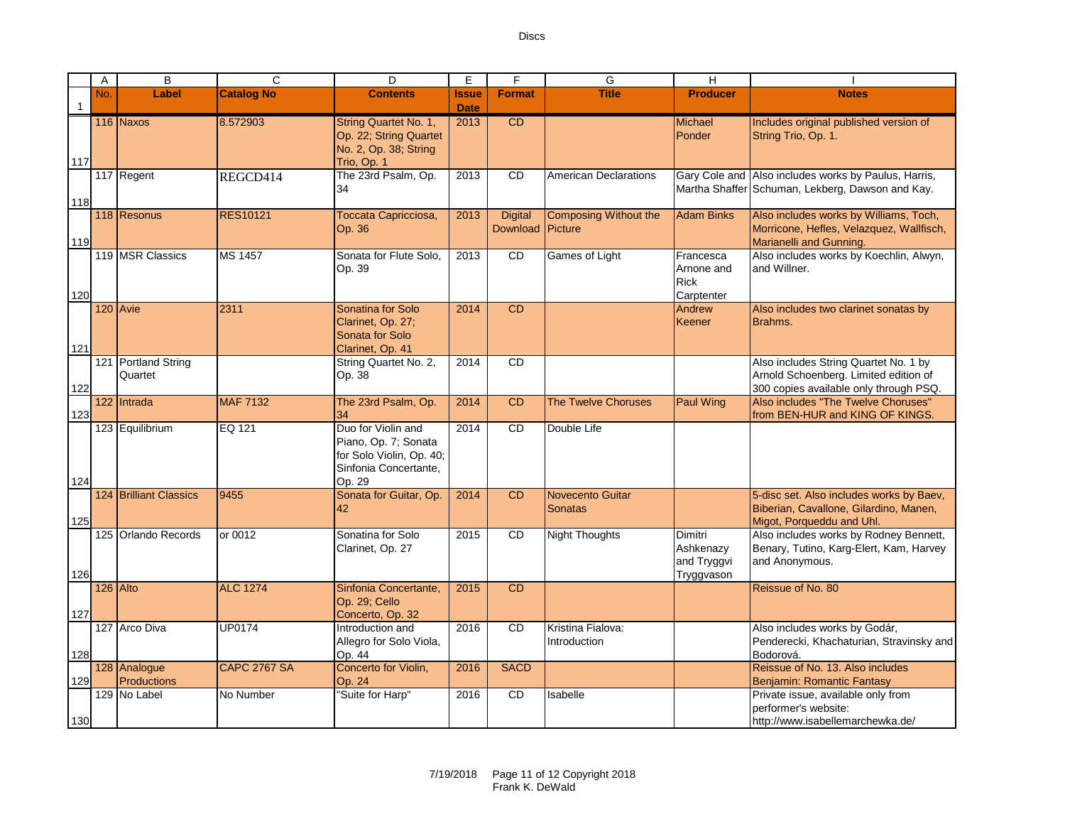Download Picture

2013 CD CD Michael

2013 CD American Declarations Gary Cole and

Composing Without the

2013 CD Games of Light Francesca

2014 CD CD Andrew

**Format Title Producer Notes**

**Ponder** 

Arnone and Rick **Carptenter** 

**Keener** 

2014 CD CD Also includes String Quartet No. 1 by

Includes original published version of

Also includes works by Paulus, Harris,

Morricone, Hefles, Velazquez, Wallfisch,

Also includes works by Koechlin, Alwyn,

Also includes two clarinet sonatas by

http://www.isabellemarchewka.de/

String Trio, Op. 1.

Martha Shaffer Schuman, Lekberg, Dawson and Kay.

Adam Binks | Also includes works by Williams, Toch,

Marianelli and Gunning.

and Willner.

Brahms.

A | B | C | D |E|F| G | H | I

2013 Digital

**Date**

Op. 22; String Quartet No. 2, Op. 38; String

Trio, Op. 1

34

Op. 36

Op. 39

Clarinet, Op. 27; Sonata for Solo Clarinet, Op. 41

String Quartet No. 2,

No. **Label Catalog No Contents Issue** 

116 Naxos 8.572903 String Quartet No. 1,

117 Regent REGCD414 The 23rd Psalm, Op.

118 Resonus RES10121 Toccata Capricciosa,

119 MSR Classics MS 1457 Sonata for Flute Solo,

120 Avie 2311 Sonatina for Solo

1

117

118

119

120

121

121 Portland String Quartet

122 123

124

125

126

127

128

129

130

| Quartet                            |                     | Op. 38                                                                                                    |      |             |                                    |                                                          | Arnold Schoenberg. Limited edition of<br>300 copies available only through PSQ.                                 |
|------------------------------------|---------------------|-----------------------------------------------------------------------------------------------------------|------|-------------|------------------------------------|----------------------------------------------------------|-----------------------------------------------------------------------------------------------------------------|
| 122 Intrada                        | <b>MAF 7132</b>     | The 23rd Psalm, Op.<br>34                                                                                 | 2014 | <b>CD</b>   | <b>The Twelve Choruses</b>         | Paul Wing                                                | Also includes "The Twelve Choruses"<br>from BEN-HUR and KING OF KINGS.                                          |
| 123 Equilibrium                    | EQ 121              | Duo for Violin and<br>Piano, Op. 7; Sonata<br>for Solo Violin, Op. 40;<br>Sinfonia Concertante.<br>Op. 29 | 2014 | CD.         | Double Life                        |                                                          |                                                                                                                 |
| 124 Brilliant Classics             | 9455                | Sonata for Guitar, Op.<br>42                                                                              | 2014 | <b>CD</b>   | <b>Novecento Guitar</b><br>Sonatas |                                                          | 5-disc set. Also includes works by Baev,<br>Biberian, Cavallone, Gilardino, Manen,<br>Migot, Porqueddu and Uhl. |
| 125 Orlando Records                | or 0012             | Sonatina for Solo<br>Clarinet, Op. 27                                                                     | 2015 | CD          | <b>Night Thoughts</b>              | <b>Dimitri</b><br>Ashkenazy<br>and Tryggvi<br>Tryggvason | Also includes works by Rodney Bennett,<br>Benary, Tutino, Karg-Elert, Kam, Harvey<br>and Anonymous.             |
| 126 Alto                           | <b>ALC 1274</b>     | Sinfonia Concertante,<br>Op. 29; Cello<br>Concerto, Op. 32                                                | 2015 | <b>CD</b>   |                                    |                                                          | Reissue of No. 80                                                                                               |
| 127 Arco Diva                      | <b>UP0174</b>       | Introduction and<br>Allegro for Solo Viola,<br>Op. 44                                                     | 2016 | CD          | Kristina Fialova:<br>Introduction  |                                                          | Also includes works by Godár,<br>Penderecki, Khachaturian, Stravinsky and<br>Bodorová.                          |
| 128 Analogue<br><b>Productions</b> | <b>CAPC 2767 SA</b> | Concerto for Violin,<br>Op. 24                                                                            | 2016 | <b>SACD</b> |                                    |                                                          | Reissue of No. 13. Also includes<br>Benjamin: Romantic Fantasy                                                  |
| 129 No Label                       | No Number           | "Suite for Harp"                                                                                          | 2016 | CD.         | Isabelle                           |                                                          | Private issue, available only from<br>performer's website:                                                      |